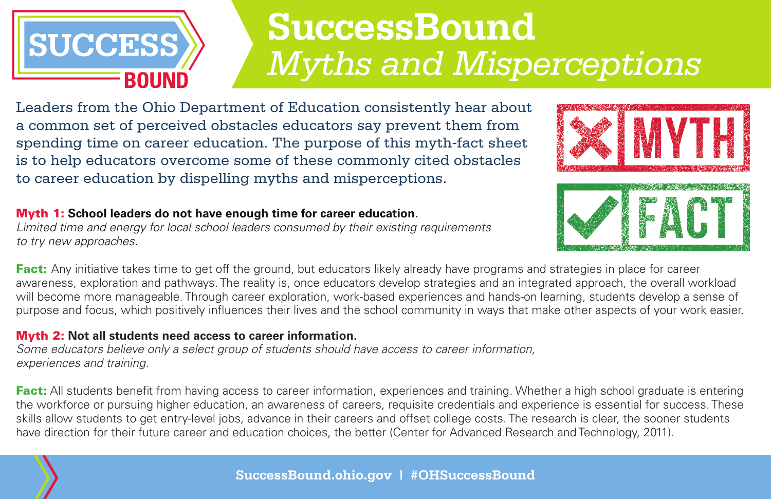

# **SuccessBound** *Myths and Misperceptions*

Leaders from the Ohio Department of Education consistently hear about a common set of perceived obstacles educators say prevent them from spending time on career education. The purpose of this myth-fact sheet is to help educators overcome some of these commonly cited obstacles to career education by dispelling myths and misperceptions.

### Myth 1: **School leaders do not have enough time for career education.**

*Limited time and energy for local school leaders consumed by their existing requirements to try new approaches.*



**Fact:** Any initiative takes time to get off the ground, but educators likely already have programs and strategies in place for career awareness, exploration and pathways. The reality is, once educators develop strategies and an integrated approach, the overall workload will become more manageable. Through career exploration, work-based experiences and hands-on learning, students develop a sense of purpose and focus, which positively influences their lives and the school community in ways that make other aspects of your work easier.

### Myth 2: **Not all students need access to career information.**

*Some educators believe only a select group of students should have access to career information, experiences and training.*

**Fact:** All students benefit from having access to career information, experiences and training. Whether a high school graduate is entering the workforce or pursuing higher education, an awareness of careers, requisite credentials and experience is essential for success. These skills allow students to get entry-level jobs, advance in their careers and offset college costs. The research is clear, the sooner students have direction for their future career and education choices, the better (Center for Advanced Research and Technology, 2011).